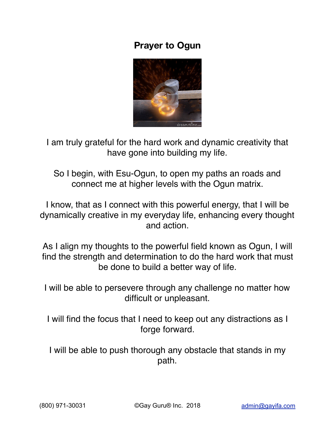## **Prayer to Ogun**



I am truly grateful for the hard work and dynamic creativity that have gone into building my life.

So I begin, with Esu-Ogun, to open my paths an roads and connect me at higher levels with the Ogun matrix.

I know, that as I connect with this powerful energy, that I will be dynamically creative in my everyday life, enhancing every thought and action.

As I align my thoughts to the powerful field known as Ogun, I will find the strength and determination to do the hard work that must be done to build a better way of life.

I will be able to persevere through any challenge no matter how difficult or unpleasant.

I will find the focus that I need to keep out any distractions as I forge forward.

I will be able to push thorough any obstacle that stands in my path.